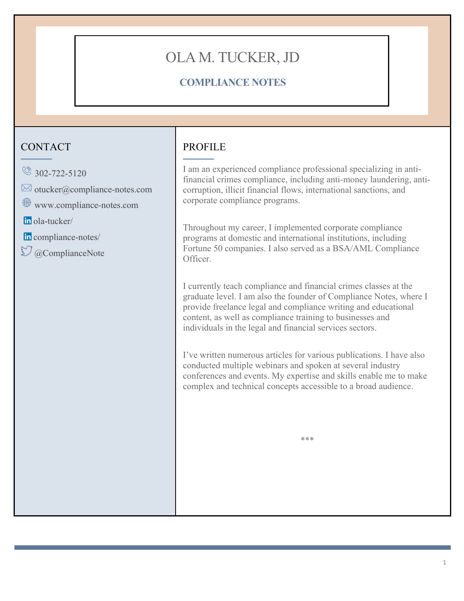# OLA M. TUCKER, JD

# **COMPLIANCE NOTES**

# **CONTACT**

- $\circ$  302-722-5120
- $\boxtimes$  otucker@compliance-notes.com
- www.compliance-notes.com

ola-tucker/

- in compliance-notes/
- $\mathfrak{O}$  @ComplianceNote

# PROFILE

I am an experienced compliance professional specializing in antifinancial crimes compliance, including anti-money laundering, anticorruption, illicit financial flows, international sanctions, and corporate compliance programs.

Throughout my career, I implemented corporate compliance programs at domestic and international institutions, including Fortune 50 companies. I also served as a BSA/AML Compliance Officer.

I currently teach compliance and financial crimes classes at the graduate level. I am also the founder of Compliance Notes, where I provide freelance legal and compliance writing and educational content, as well as compliance training to businesses and individuals in the legal and financial services sectors.

I've written numerous articles for various publications. I have also conducted multiple webinars and spoken at several industry conferences and events. My expertise and skills enable me to make complex and technical concepts accessible to a broad audience.

\*\*\*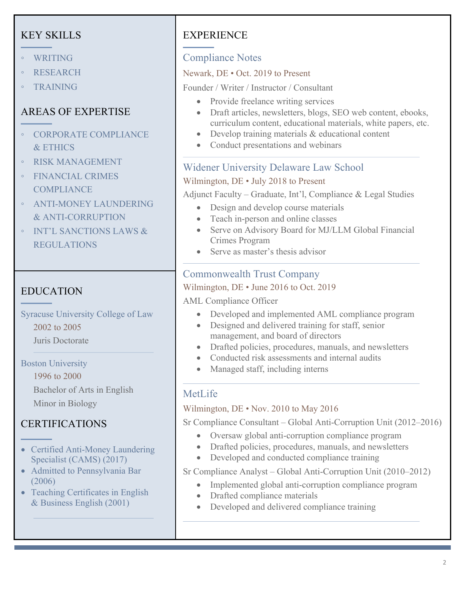# KEY SKILLS

- WRITING
- **RESEARCH**
- TRAINING

# AREAS OF EXPERTISE

- CORPORATE COMPLIANCE & ETHICS
- RISK MANAGEMENT
- FINANCIAL CRIMES **COMPLIANCE**
- ANTI-MONEY LAUNDERING & ANTI-CORRUPTION
- INT'L SANCTIONS LAWS & REGULATIONS

# EDUCATION

Syracuse University College of Law 2002 to 2005 Juris Doctorate

Boston University 1996 to 2000 Bachelor of Arts in English

Minor in Biology

# CERTIFICATIONS

- Certified Anti-Money Laundering Specialist (CAMS) (2017)
- Admitted to Pennsylvania Bar (2006)
- Teaching Certificates in English & Business English (2001)

# **EXPERIENCE**

# Compliance Notes

### Newark, DE • Oct. 2019 to Present

Founder / Writer / Instructor / Consultant

- Provide freelance writing services
- Draft articles, newsletters, blogs, SEO web content, ebooks, curriculum content, educational materials, white papers, etc.
- Develop training materials & educational content
- Conduct presentations and webinars

### Widener University Delaware Law School

#### Wilmington, DE • July 2018 to Present

Adjunct Faculty – Graduate, Int'l, Compliance & Legal Studies

- Design and develop course materials
- Teach in-person and online classes
- Serve on Advisory Board for MJ/LLM Global Financial Crimes Program
- Serve as master's thesis advisor

### Commonwealth Trust Company

#### Wilmington, DE • June 2016 to Oct. 2019

#### AML Compliance Officer

- Developed and implemented AML compliance program
- Designed and delivered training for staff, senior management, and board of directors
- Drafted policies, procedures, manuals, and newsletters
- Conducted risk assessments and internal audits
- Managed staff, including interns

# MetLife

#### Wilmington, DE • Nov. 2010 to May 2016

Sr Compliance Consultant – Global Anti-Corruption Unit (2012–2016)

- Oversaw global anti-corruption compliance program
- Drafted policies, procedures, manuals, and newsletters
- Developed and conducted compliance training

#### Sr Compliance Analyst – Global Anti-Corruption Unit (2010–2012)

- Implemented global anti-corruption compliance program
- Drafted compliance materials
- Developed and delivered compliance training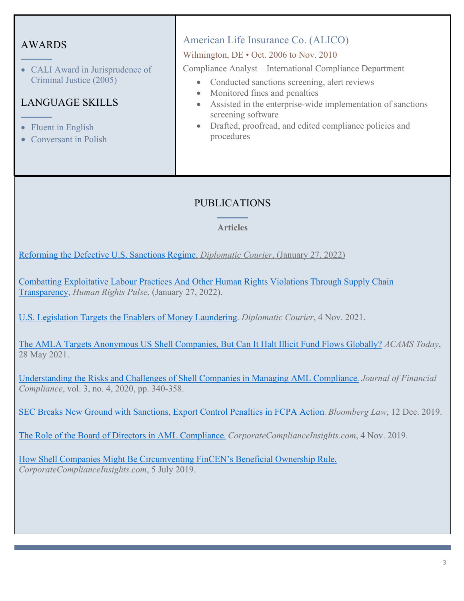### AWARDS

• CALI Award in Jurisprudence of Criminal Justice (2005)

### LANGUAGE SKILLS

- Fluent in English
- Conversant in Polish

### American Life Insurance Co. (ALICO)

#### Wilmington, DE • Oct. 2006 to Nov. 2010

Compliance Analyst – International Compliance Department

- Conducted sanctions screening, alert reviews
- Monitored fines and penalties
- Assisted in the enterprise-wide implementation of sanctions screening software
- Drafted, proofread, and edited compliance policies and procedures

### PUBLICATIONS

#### **Articles**

Reforming the Defective U.S. Sanctions Regime, *Diplomatic Courier*, (January 27, 2022)

Combatting Exploitative Labour Practices And Other Human Rights Violations Through Supply Chain Transparency, *Human Rights Pulse*, (January 27, 2022).

U.S. Legislation Targets the Enablers of Money Laundering. *Diplomatic Courier*, 4 Nov. 2021.

The AMLA Targets Anonymous US Shell Companies, But Can It Halt Illicit Fund Flows Globally? *ACAMS Today*, 28 May 2021.

Understanding the Risks and Challenges of Shell Companies in Managing AML Compliance. *Journal of Financial Compliance*, vol. 3, no. 4, 2020, pp. 340-358.

SEC Breaks New Ground with Sanctions, Export Control Penalties in FCPA Action. *Bloomberg Law*, 12 Dec. 2019.

The Role of the Board of Directors in AML Compliance. *CorporateComplianceInsights.com*, 4 Nov. 2019.

How Shell Companies Might Be Circumventing FinCEN's Beneficial Ownership Rule. *CorporateComplianceInsights.com*, 5 July 2019.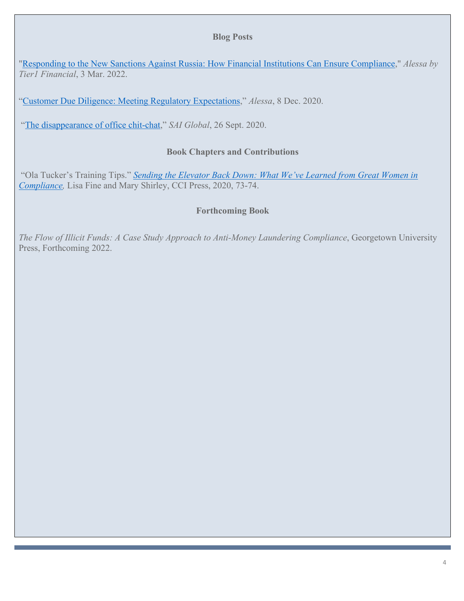#### **Blog Posts**

"Responding to the New Sanctions Against Russia: How Financial Institutions Can Ensure Compliance," *Alessa by Tier1 Financial*, 3 Mar. 2022.

"Customer Due Diligence: Meeting Regulatory Expectations," *Alessa*, 8 Dec. 2020.

"The disappearance of office chit-chat," *SAI Global*, 26 Sept. 2020.

#### **Book Chapters and Contributions**

"Ola Tucker's Training Tips." *Sending the Elevator Back Down: What We've Learned from Great Women in Compliance,* Lisa Fine and Mary Shirley, CCI Press, 2020, 73-74.

#### **Forthcoming Book**

*The Flow of Illicit Funds: A Case Study Approach to Anti-Money Laundering Compliance*, Georgetown University Press, Forthcoming 2022.